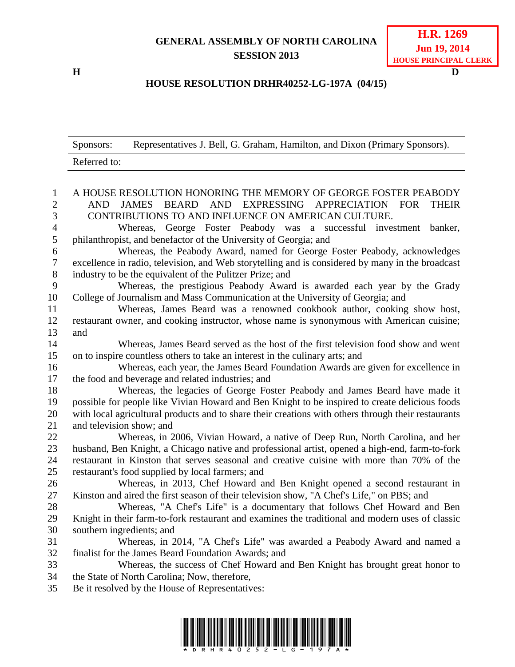## **GENERAL ASSEMBLY OF NORTH CAROLINA SESSION 2013**

**H D**

## **HOUSE RESOLUTION DRHR40252-LG-197A (04/15)**

|                     | Representatives J. Bell, G. Graham, Hamilton, and Dixon (Primary Sponsors).<br>Sponsors:                                                  |  |
|---------------------|-------------------------------------------------------------------------------------------------------------------------------------------|--|
|                     | Referred to:                                                                                                                              |  |
|                     |                                                                                                                                           |  |
| $\mathbf{1}$        | A HOUSE RESOLUTION HONORING THE MEMORY OF GEORGE FOSTER PEABODY                                                                           |  |
| $\overline{2}$<br>3 | JAMES BEARD AND EXPRESSING APPRECIATION<br><b>AND</b><br><b>FOR</b><br><b>THEIR</b>                                                       |  |
|                     | CONTRIBUTIONS TO AND INFLUENCE ON AMERICAN CULTURE.                                                                                       |  |
| 4<br>$\sqrt{5}$     | Whereas, George Foster Peabody was a successful investment<br>banker,<br>philanthropist, and benefactor of the University of Georgia; and |  |
| 6                   | Whereas, the Peabody Award, named for George Foster Peabody, acknowledges                                                                 |  |
| $\overline{7}$      | excellence in radio, television, and Web storytelling and is considered by many in the broadcast                                          |  |
| $8\phantom{1}$      | industry to be the equivalent of the Pulitzer Prize; and                                                                                  |  |
| 9                   | Whereas, the prestigious Peabody Award is awarded each year by the Grady                                                                  |  |
| 10                  | College of Journalism and Mass Communication at the University of Georgia; and                                                            |  |
| 11                  | Whereas, James Beard was a renowned cookbook author, cooking show host,                                                                   |  |
| 12                  | restaurant owner, and cooking instructor, whose name is synonymous with American cuisine;                                                 |  |
| 13                  | and                                                                                                                                       |  |
| 14                  | Whereas, James Beard served as the host of the first television food show and went                                                        |  |
| 15                  | on to inspire countless others to take an interest in the culinary arts; and                                                              |  |
| 16                  | Whereas, each year, the James Beard Foundation Awards are given for excellence in                                                         |  |
| 17                  | the food and beverage and related industries; and                                                                                         |  |
| 18                  | Whereas, the legacies of George Foster Peabody and James Beard have made it                                                               |  |
| 19                  | possible for people like Vivian Howard and Ben Knight to be inspired to create delicious foods                                            |  |
| 20                  | with local agricultural products and to share their creations with others through their restaurants                                       |  |
| 21                  | and television show; and                                                                                                                  |  |
| 22                  | Whereas, in 2006, Vivian Howard, a native of Deep Run, North Carolina, and her                                                            |  |
| 23                  | husband, Ben Knight, a Chicago native and professional artist, opened a high-end, farm-to-fork                                            |  |
| 24                  | restaurant in Kinston that serves seasonal and creative cuisine with more than 70% of the                                                 |  |
| 25                  | restaurant's food supplied by local farmers; and                                                                                          |  |
| 26                  | Whereas, in 2013, Chef Howard and Ben Knight opened a second restaurant in                                                                |  |
| 27                  | Kinston and aired the first season of their television show, "A Chef's Life," on PBS; and                                                 |  |
| 28                  | Whereas, "A Chef's Life" is a documentary that follows Chef Howard and Ben                                                                |  |
| 29                  | Knight in their farm-to-fork restaurant and examines the traditional and modern uses of classic                                           |  |
| 30                  | southern ingredients; and                                                                                                                 |  |
| 31                  | Whereas, in 2014, "A Chef's Life" was awarded a Peabody Award and named a                                                                 |  |
| 32                  | finalist for the James Beard Foundation Awards; and                                                                                       |  |
| 33<br>34            | Whereas, the success of Chef Howard and Ben Knight has brought great honor to<br>the State of North Carolina; Now, therefore,             |  |
| 35                  | Be it resolved by the House of Representatives:                                                                                           |  |
|                     |                                                                                                                                           |  |